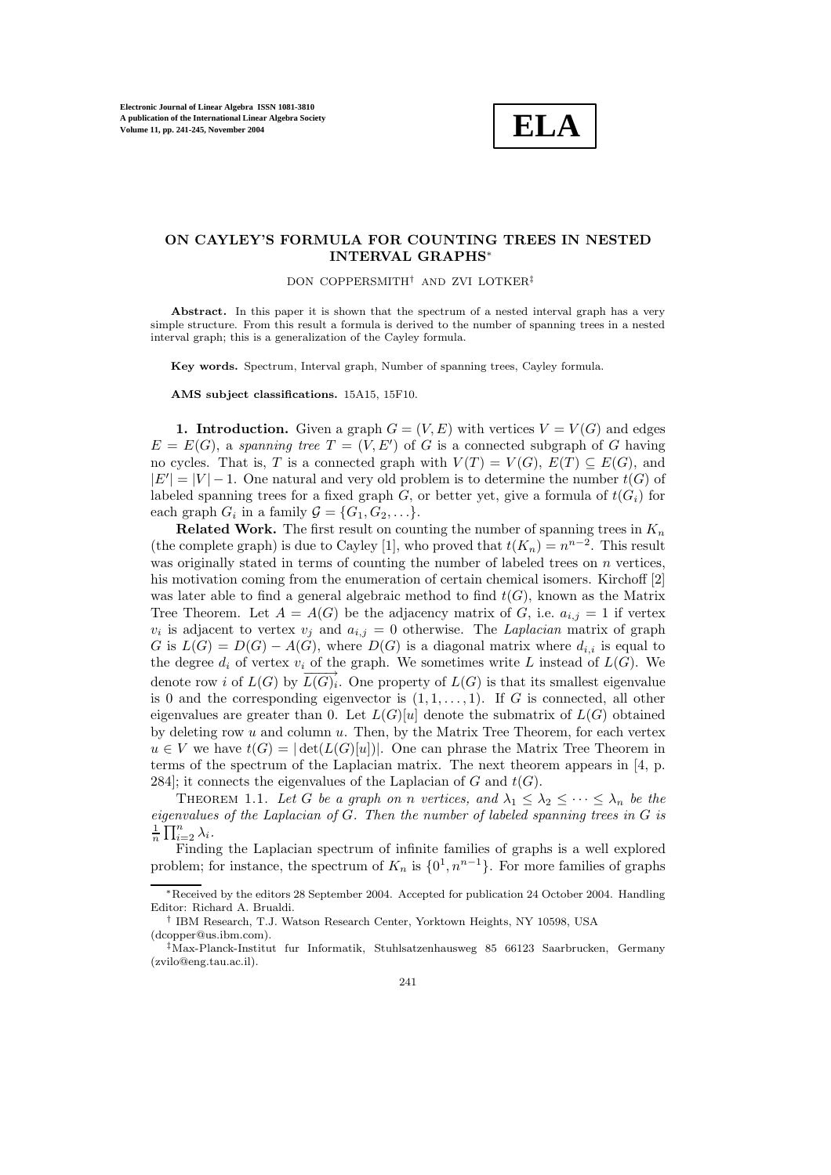

## **ON CAYLEY'S FORMULA FOR COUNTING TREES IN NESTED INTERVAL GRAPHS**<sup>∗</sup>

DON COPPERSMITH† AND ZVI LOTKER‡

Abstract. In this paper it is shown that the spectrum of a nested interval graph has a very simple structure. From this result a formula is derived to the number of spanning trees in a nested interval graph; this is a generalization of the Cayley formula.

**Key words.** Spectrum, Interval graph, Number of spanning trees, Cayley formula.

**AMS subject classifications.** 15A15, 15F10.

**1. Introduction.** Given a graph  $G = (V, E)$  with vertices  $V = V(G)$  and edges  $E = E(G)$ , a spanning tree  $T = (V, E')$  of G is a connected subgraph of G having no cycles. That is, T is a connected graph with  $V(T) = V(G)$ ,  $E(T) \subseteq E(G)$ , and  $|E'| = |V| - 1$ . One natural and very old problem is to determine the number  $t(G)$  of labeled spanning trees for a fixed graph  $G$ , or better yet, give a formula of  $t(G_i)$  for each graph  $G_i$  in a family  $\mathcal{G} = \{G_1, G_2, \ldots\}.$ 

**Related Work.** The first result on counting the number of spanning trees in  $K_n$ (the complete graph) is due to Cayley [1], who proved that  $t(K_n) = n^{n-2}$ . This result was originally stated in terms of counting the number of labeled trees on n vertices, his motivation coming from the enumeration of certain chemical isomers. Kirchoff [2] was later able to find a general algebraic method to find  $t(G)$ , known as the Matrix Tree Theorem. Let  $A = A(G)$  be the adjacency matrix of G, i.e.  $a_{i,j} = 1$  if vertex  $v_i$  is adjacent to vertex  $v_j$  and  $a_{i,j} = 0$  otherwise. The Laplacian matrix of graph G is  $L(G) = D(G) - A(G)$ , where  $D(G)$  is a diagonal matrix where  $d_{i,i}$  is equal to the degree  $d_i$  of vertex  $v_i$  of the graph. We sometimes write L instead of  $L(G)$ . We denote row i of  $L(G)$  by  $\overrightarrow{L(G)}_i$ . One property of  $L(G)$  is that its smallest eigenvalue is 0 and the corresponding eigenvector is  $(1, 1, \ldots, 1)$ . If G is connected, all other eigenvalues are greater than 0. Let  $L(G)[u]$  denote the submatrix of  $L(G)$  obtained by deleting row  $u$  and column  $u$ . Then, by the Matrix Tree Theorem, for each vertex  $u \in V$  we have  $t(G) = |\det(L(G)[u])|$ . One can phrase the Matrix Tree Theorem in terms of the spectrum of the Laplacian matrix. The next theorem appears in [4, p. 284]; it connects the eigenvalues of the Laplacian of G and  $t(G)$ .

THEOREM 1.1. Let G be a graph on n vertices, and  $\lambda_1 \leq \lambda_2 \leq \cdots \leq \lambda_n$  be the eigenvalues of the Laplacian of G. Then the number of labeled spanning trees in G is  $\frac{1}{n} \prod_{i=2}^{n} \lambda_i$ .

Finding the Laplacian spectrum of infinite families of graphs is a well explored problem; for instance, the spectrum of  $K_n$  is  $\{0^1, n^{n-1}\}\$ . For more families of graphs

<sup>∗</sup>Received by the editors 28 September 2004. Accepted for publication 24 October 2004. Handling Editor: Richard A. Brualdi.

<sup>†</sup> IBM Research, T.J. Watson Research Center, Yorktown Heights, NY 10598, USA (dcopper@us.ibm.com).

<sup>‡</sup>Max-Planck-Institut fur Informatik, Stuhlsatzenhausweg 85 66123 Saarbrucken, Germany (zvilo@eng.tau.ac.il).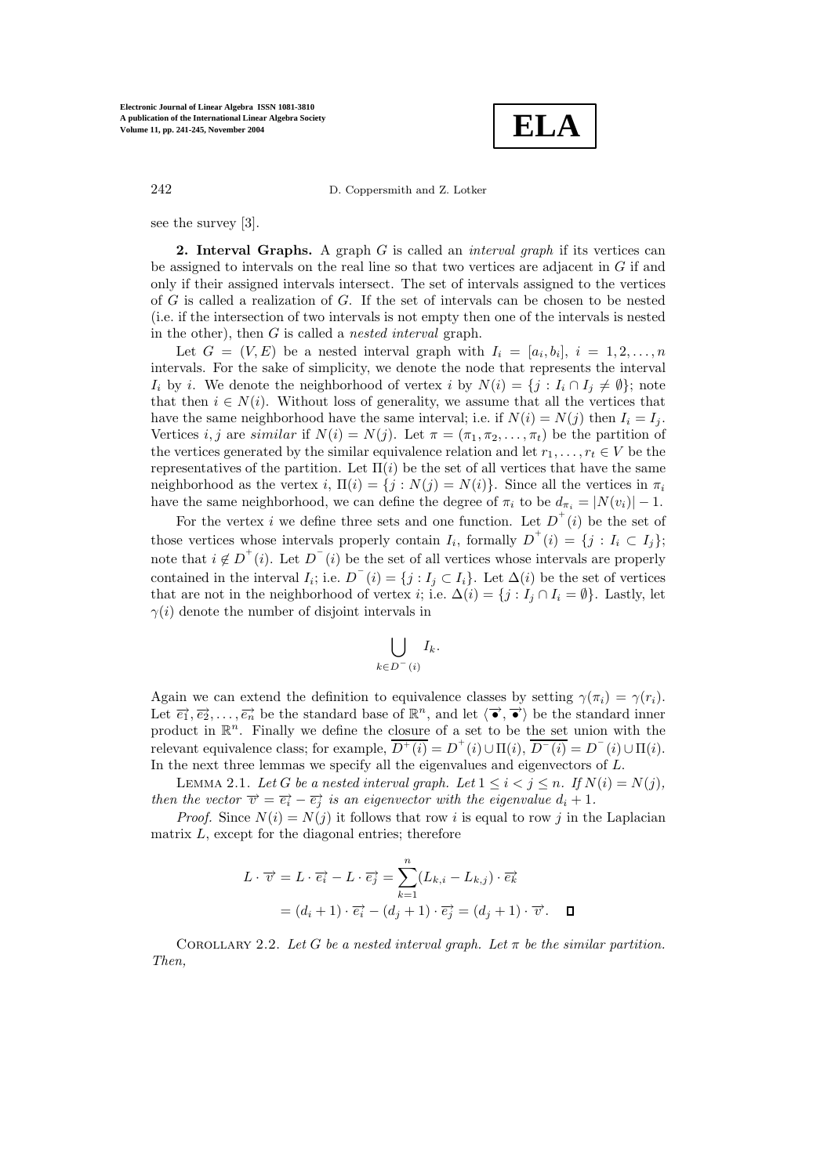**ELA**

242 D. Coppersmith and Z. Lotker

see the survey [3].

**2. Interval Graphs.** A graph G is called an *interval graph* if its vertices can be assigned to intervals on the real line so that two vertices are adjacent in  $G$  if and only if their assigned intervals intersect. The set of intervals assigned to the vertices of G is called a realization of G. If the set of intervals can be chosen to be nested (i.e. if the intersection of two intervals is not empty then one of the intervals is nested in the other), then  $G$  is called a *nested interval* graph.

Let  $G = (V, E)$  be a nested interval graph with  $I_i = [a_i, b_i], i = 1, 2, \ldots, n$ intervals. For the sake of simplicity, we denote the node that represents the interval  $I_i$  by i. We denote the neighborhood of vertex i by  $N(i) = \{j : I_i \cap I_j \neq \emptyset\}$ ; note that then  $i \in N(i)$ . Without loss of generality, we assume that all the vertices that have the same neighborhood have the same interval; i.e. if  $N(i) = N(j)$  then  $I_i = I_j$ . Vertices i, j are similar if  $N(i) = N(j)$ . Let  $\pi = (\pi_1, \pi_2, ..., \pi_t)$  be the partition of the vertices generated by the similar equivalence relation and let  $r_1, \ldots, r_t \in V$  be the representatives of the partition. Let  $\Pi(i)$  be the set of all vertices that have the same neighborhood as the vertex i,  $\Pi(i) = \{j : N(j) = N(i)\}\$ . Since all the vertices in  $\pi_i$ have the same neighborhood, we can define the degree of  $\pi_i$  to be  $d_{\pi_i} = |N(v_i)| - 1$ .

For the vertex i we define three sets and one function. Let  $D^+(i)$  be the set of those vertices whose intervals properly contain  $I_i$ , formally  $D^+(i) = \{j : I_i \subset I_j\}$ ; note that  $i \notin D^+(i)$ . Let  $D^-(i)$  be the set of all vertices whose intervals are properly contained in the interval  $I_i$ ; i.e.  $D^-(i) = \{j : I_j \subset I_i\}$ . Let  $\Delta(i)$  be the set of vertices that are not in the neighborhood of vertex *i*; i.e.  $\Delta(i) = \{j : I_j \cap I_i = \emptyset\}$ . Lastly, let  $\gamma(i)$  denote the number of disjoint intervals in

$$
\bigcup_{k\in D^-(i)} I_k.
$$

Again we can extend the definition to equivalence classes by setting  $\gamma(\pi_i) = \gamma(r_i)$ . Let  $\vec{e}_1, \vec{e}_2, \ldots, \vec{e}_n$  be the standard base of  $\mathbb{R}^n$ , and let  $\langle \vec{\bullet}, \vec{\bullet} \rangle$  be the standard inner product in  $\mathbb{R}^n$ . Finally we define the closure of a set to be the set union with the relevant equivalence class; for example,  $\overline{D^+(i)} = D^+(i) \cup \Pi(i)$ ,  $\overline{D^-(i)} = D^-(i) \cup \Pi(i)$ . In the next three lemmas we specify all the eigenvalues and eigenvectors of L.

LEMMA 2.1. Let G be a nested interval graph. Let  $1 \leq i < j \leq n$ . If  $N(i) = N(j)$ , then the vector  $\vec{v} = \vec{e}_i - \vec{e}_j$  is an eigenvector with the eigenvalue  $d_i + 1$ .

*Proof.* Since  $N(i) = N(j)$  it follows that row i is equal to row j in the Laplacian matrix  $L$ , except for the diagonal entries; therefore

$$
L \cdot \overrightarrow{v} = L \cdot \overrightarrow{e_i} - L \cdot \overrightarrow{e_j} = \sum_{k=1}^{n} (L_{k,i} - L_{k,j}) \cdot \overrightarrow{e_k}
$$

$$
= (d_i + 1) \cdot \overrightarrow{e_i} - (d_j + 1) \cdot \overrightarrow{e_j} = (d_j + 1) \cdot \overrightarrow{v}.
$$

COROLLARY 2.2. Let G be a nested interval graph. Let  $\pi$  be the similar partition. Then,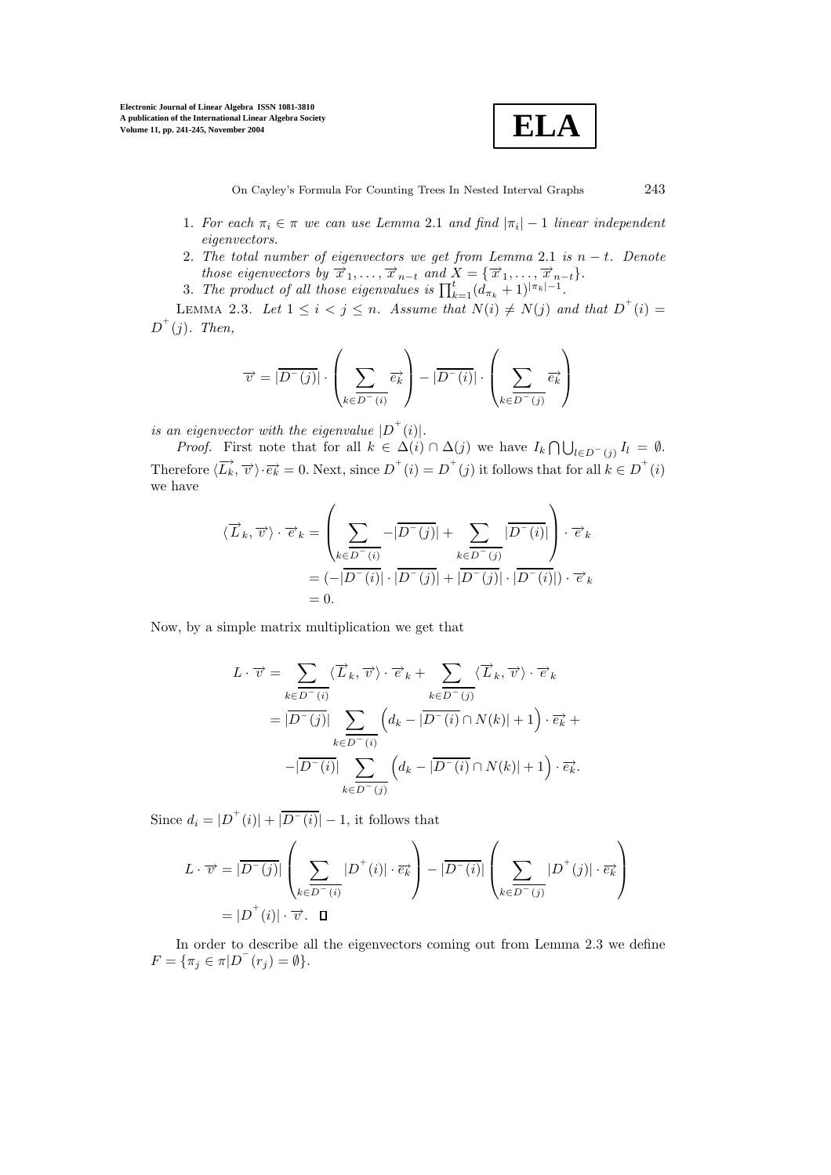

On Cayley's Formula For Counting Trees In Nested Interval Graphs  $243$ 

- 1. For each  $\pi_i \in \pi$  we can use Lemma 2.1 and find  $|\pi_i| 1$  linear independent eigenvectors.
- 2. The total number of eigenvectors we get from Lemma 2.1 is  $n t$ . Denote those eigenvectors by  $\overrightarrow{x}_1,\ldots,\overrightarrow{x}_{n-t}$  and  $\overrightarrow{X} = {\overrightarrow{x}_1,\ldots,\overrightarrow{x}_{n-t}}$ .

3. The product of all those eigenvalues is  $\prod_{k=1}^{t} (d_{\pi_k} + 1)^{|\pi_k|-1}$ .

LEMMA 2.3. Let  $1 \leq i < j \leq n$ . Assume that  $N(i) \neq N(j)$  and that  $D^+(i)$  $D^+(j)$ . Then,

$$
\overrightarrow{v} = |\overrightarrow{D^-(j)}| \cdot \left(\sum_{k \in \overrightarrow{D^-(i)}} \overrightarrow{e_k}\right) - |\overrightarrow{D^-(i)}| \cdot \left(\sum_{k \in \overrightarrow{D^-(j)}} \overrightarrow{e_k}\right)
$$

is an eigenvector with the eigenvalue  $|D^+(i)|$ .

*Proof.* First note that for all  $k \in \Delta(i) \cap \Delta(j)$  we have  $I_k \cap \bigcup_{l \in D^-(j)} I_l = \emptyset$ . Therefore  $\langle \overrightarrow{L_k}, \overrightarrow{v} \rangle \cdot \overrightarrow{e_k} = 0$ . Next, since  $D^+(i) = D^+(j)$  it follows that for all  $k \in D^+(i)$ we have

$$
\langle \overrightarrow{L}_k, \overrightarrow{v} \rangle \cdot \overrightarrow{e}_k = \left( \sum_{k \in \overrightarrow{D^-(i)}} -|\overrightarrow{D^-(j)}| + \sum_{k \in \overrightarrow{D^-(j)}} |\overrightarrow{D^-(i)}| \right) \cdot \overrightarrow{e}_k
$$
  
=  $(-|\overrightarrow{D^-(i)}| \cdot |\overrightarrow{D^-(j)}| + |\overrightarrow{D^-(j)}| \cdot |\overrightarrow{D^-(i)}|) \cdot \overrightarrow{e}_k$   
= 0.

Now, by a simple matrix multiplication we get that

$$
L \cdot \overrightarrow{v} = \sum_{k \in \overrightarrow{D^{-}(i)}} \langle \overrightarrow{L}_k, \overrightarrow{v} \rangle \cdot \overrightarrow{e}_k + \sum_{k \in \overrightarrow{D^{-}(j)}} \langle \overrightarrow{L}_k, \overrightarrow{v} \rangle \cdot \overrightarrow{e}_k
$$
  

$$
= |\overrightarrow{D^{-}(j)}| \sum_{k \in \overrightarrow{D^{-}(i)}} \left( d_k - |\overrightarrow{D^{-}(i)} \cap N(k)| + 1 \right) \cdot \overrightarrow{e}_k +
$$
  

$$
- |\overrightarrow{D^{-}(i)}| \sum_{k \in \overrightarrow{D^{-}(j)}} \left( d_k - |\overrightarrow{D^{-}(i)} \cap N(k)| + 1 \right) \cdot \overrightarrow{e}_k.
$$

Since  $d_i = |D^+(i)| + |\overline{D^-(i)}| - 1$ , it follows that

$$
L \cdot \overrightarrow{v} = |\overrightarrow{D^-(j)}| \left( \sum_{k \in \overrightarrow{D^-(i)}} |D^+(i)| \cdot \overrightarrow{e_k} \right) - |\overrightarrow{D^-(i)}| \left( \sum_{k \in \overrightarrow{D^-(j)}} |D^+(j)| \cdot \overrightarrow{e_k} \right)
$$

$$
= |D^+(i)| \cdot \overrightarrow{v}.
$$

In order to describe all the eigenvectors coming out from Lemma 2.3 we define  $F = \{\pi_j \in \pi | D^-(r_j) = \emptyset\}.$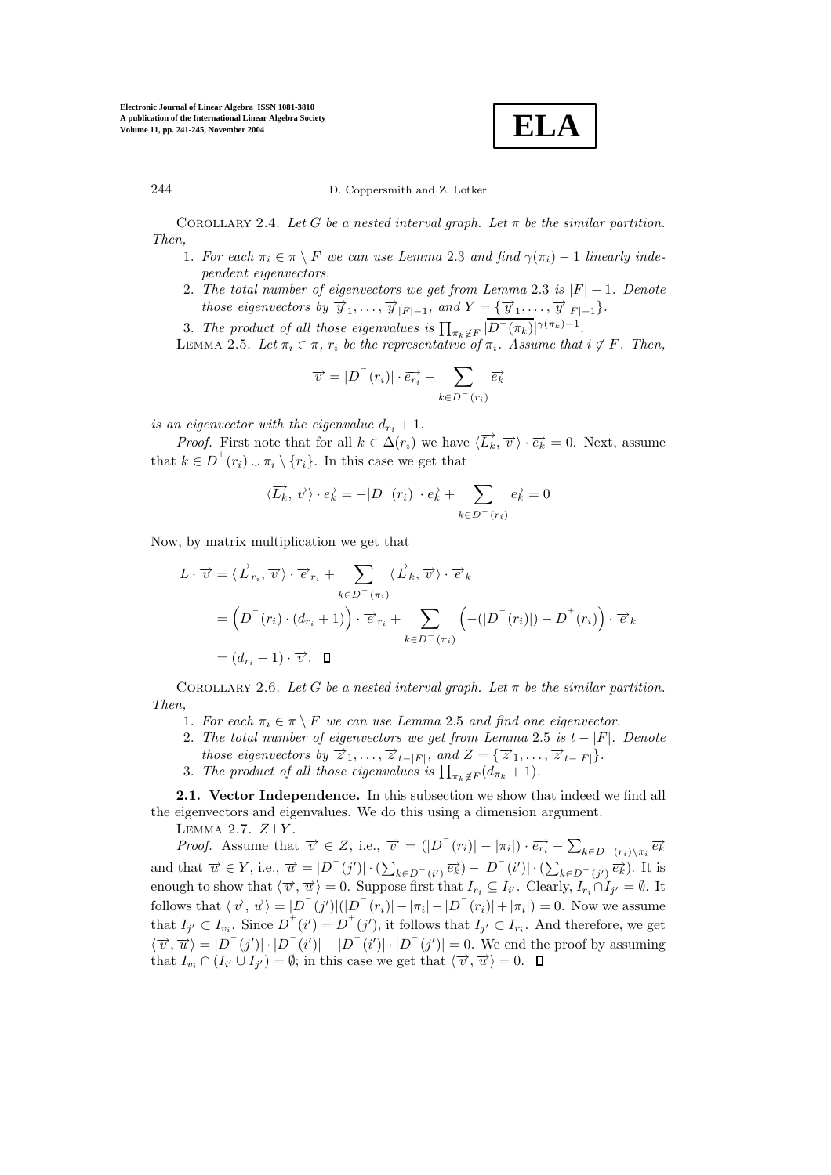**Electronic Journal of Linear Algebra ISSN 1081-3810 A publication of the International Linear Algebra Society Volume 11, pp. 241-245, November 2004**

**ELA**

244 D. Coppersmith and Z. Lotker

COROLLARY 2.4. Let G be a nested interval graph. Let  $\pi$  be the similar partition. Then,

- 1. For each  $\pi_i \in \pi \setminus F$  we can use Lemma 2.3 and find  $\gamma(\pi_i) 1$  linearly independent eigenvectors.
- 2. The total number of eigenvectors we get from Lemma 2.3 is  $|F| 1$ . Denote those eigenvectors by  $\overrightarrow{y}_1,\ldots,\overrightarrow{y}_{|F|-1}$ , and  $Y = {\overrightarrow{y}_1,\ldots,\overrightarrow{y}_{|F|-1}}.$
- 3. The product of all those eigenvalues is  $\prod_{\pi_k \notin F} |\overline{D^+(\pi_k)}|^{\gamma(\pi_k)-1}$ .

LEMMA 2.5. Let  $\pi_i \in \pi$ ,  $r_i$  be the representative of  $\pi_i$ . Assume that  $i \notin F$ . Then,

$$
\overrightarrow{v} = |D^-(r_i)| \cdot \overrightarrow{e_{ri}} - \sum_{k \in D^-(r_i)} \overrightarrow{e_k}
$$

is an eigenvector with the eigenvalue  $d_{r_i} + 1$ .

*Proof.* First note that for all  $k \in \Delta(r_i)$  we have  $\langle \overrightarrow{L_k}, \overrightarrow{v} \rangle \cdot \overrightarrow{e_k} = 0$ . Next, assume that  $k \in D^+(r_i) \cup \pi_i \setminus \{r_i\}$ . In this case we get that

$$
\langle \overrightarrow{L_k}, \overrightarrow{v} \rangle \cdot \overrightarrow{e_k} = -|D^-(r_i)| \cdot \overrightarrow{e_k} + \sum_{k \in D^-(r_i)} \overrightarrow{e_k} = 0
$$

Now, by matrix multiplication we get that

$$
L \cdot \overrightarrow{v} = \langle \overrightarrow{L}_{r_i}, \overrightarrow{v} \rangle \cdot \overrightarrow{e}_{r_i} + \sum_{k \in D^-(\pi_i)} \langle \overrightarrow{L}_k, \overrightarrow{v} \rangle \cdot \overrightarrow{e}_k
$$
  
= 
$$
\left(D^-(r_i) \cdot (d_{r_i} + 1)\right) \cdot \overrightarrow{e}_{r_i} + \sum_{k \in D^-(\pi_i)} \left(-(|D^-(r_i)|) - D^+(r_i)\right) \cdot \overrightarrow{e}_k
$$
  
= 
$$
(d_{r_i} + 1) \cdot \overrightarrow{v} \cdot \mathbf{\square}
$$

COROLLARY 2.6. Let G be a nested interval graph. Let  $\pi$  be the similar partition. Then,

- 1. For each  $\pi_i \in \pi \setminus F$  we can use Lemma 2.5 and find one eigenvector.
- 2. The total number of eigenvectors we get from Lemma 2.5 is  $t |F|$ . Denote those eigenvectors by  $\overrightarrow{z}_1,\ldots,\overrightarrow{z}_{t-|F|}$ , and  $Z = {\overrightarrow{z}_1,\ldots,\overrightarrow{z}_{t-|F|}}.$
- 3. The product of all those eigenvalues is  $\prod_{\pi_k \notin F} (d_{\pi_k} + 1)$ .

**2.1. Vector Independence.** In this subsection we show that indeed we find all the eigenvectors and eigenvalues. We do this using a dimension argument.

LEMMA 2.7.  $Z \bot Y$ .

*Proof.* Assume that  $\overrightarrow{v} \in Z$ , i.e.,  $\overrightarrow{v} = (|D^-(r_i)| - |\pi_i|) \cdot \overrightarrow{e_{r_i}} - \sum_{k \in D^-(r_i) \setminus \pi_i} \overrightarrow{e_k}$ and that  $\vec{u} \in Y$ , i.e.,  $\vec{u} = |D^{-}(j')| \cdot (\sum_{k \in D^{-}(i')} \vec{e_k}) - |D^{-}(i')| \cdot (\sum_{k \in D^{-}(j')} \vec{e_k})$ . It is enough to show that  $\langle \overrightarrow{v}, \overrightarrow{u} \rangle = 0$ . Suppose first that  $I_{r_i} \subseteq I_{i'}$ . Clearly,  $I_{r_i} \cap I_{j'} = \emptyset$ . It follows that  $\langle \overrightarrow{v}, \overrightarrow{u} \rangle = |D^{-}(j')|(|D^{-}(r_{i})| - |\pi_{i}| - |D^{-}(r_{i})| + |\pi_{i}|) = 0$ . Now we assume that  $I_{j'} \subset I_{v_i}$ . Since  $D^+(i') = D^+(j')$ , it follows that  $I_{j'} \subset I_{r_i}$ . And therefore, we get  $\langle \overrightarrow{v}, \overrightarrow{u} \rangle = |D^-(j')| \cdot |D^-(i')| - |D^-(i')| \cdot |D^-(j')| = 0$ . We end the proof by assuming that  $I_{v_i} \cap (I_{i'} \cup I_{j'}) = \emptyset$ ; in this case we get that  $\langle \overrightarrow{v}, \overrightarrow{u} \rangle = 0$ .